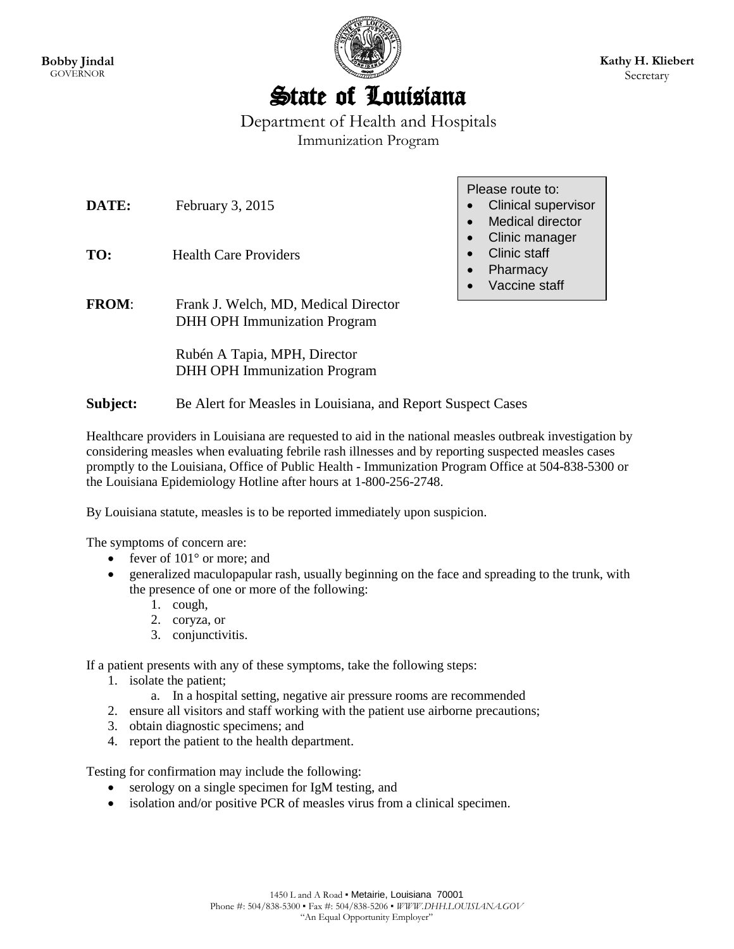

## State of Louisiana

Department of Health and Hospitals Immunization Program

Please route to:

| DATE:<br>TO: | February $3, 2015$<br><b>Health Care Providers</b>                          | <b>Clinical supervisor</b><br>$\bullet$<br><b>Medical director</b><br>$\bullet$<br>Clinic manager<br>$\bullet$<br><b>Clinic staff</b><br>Pharmacy<br>$\bullet$<br>Vaccine staff<br>$\bullet$ |
|--------------|-----------------------------------------------------------------------------|----------------------------------------------------------------------------------------------------------------------------------------------------------------------------------------------|
| <b>FROM:</b> | Frank J. Welch, MD, Medical Director<br><b>DHH OPH Immunization Program</b> |                                                                                                                                                                                              |
|              | Rubén A Tapia, MPH, Director<br><b>DHH OPH Immunization Program</b>         |                                                                                                                                                                                              |
| Subject:     | Be Alert for Measles in Louisiana, and Report Suspect Cases                 |                                                                                                                                                                                              |

Healthcare providers in Louisiana are requested to aid in the national measles outbreak investigation by considering measles when evaluating febrile rash illnesses and by reporting suspected measles cases promptly to the Louisiana, Office of Public Health - Immunization Program Office at 504-838-5300 or the Louisiana Epidemiology Hotline after hours at 1-800-256-2748.

By Louisiana statute, measles is to be reported immediately upon suspicion.

The symptoms of concern are:

- fever of  $101^{\circ}$  or more; and
- generalized maculopapular rash, usually beginning on the face and spreading to the trunk, with the presence of one or more of the following:
	- 1. cough,
	- 2. coryza, or
	- 3. conjunctivitis.

If a patient presents with any of these symptoms, take the following steps:

- 1. isolate the patient;
	- a. In a hospital setting, negative air pressure rooms are recommended
- 2. ensure all visitors and staff working with the patient use airborne precautions;
- 3. obtain diagnostic specimens; and
- 4. report the patient to the health department.

Testing for confirmation may include the following:

- serology on a single specimen for IgM testing, and
- isolation and/or positive PCR of measles virus from a clinical specimen.